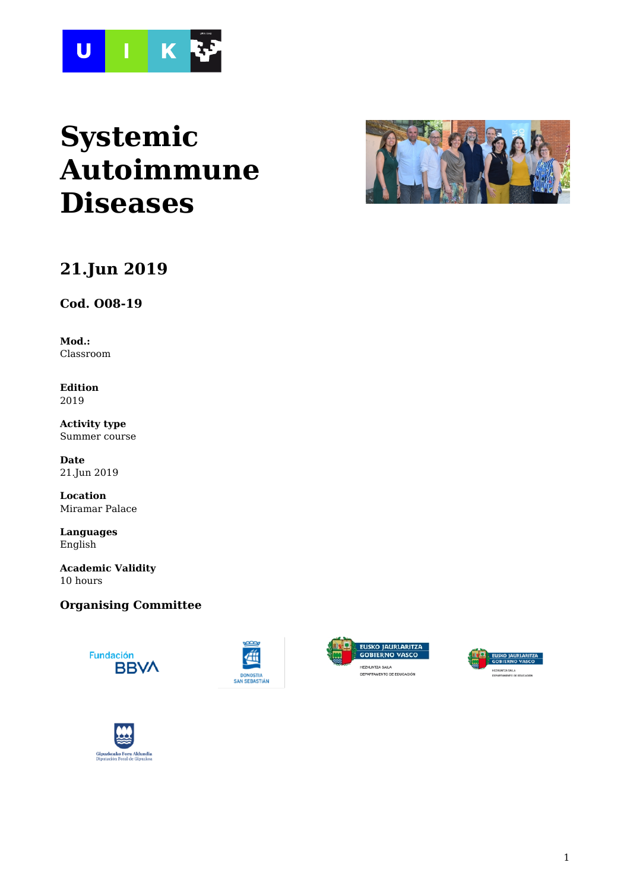

# **Systemic Autoimmune Diseases**



# **21.Jun 2019**

**Cod. O08-19**

**Mod.:** Classroom

**Edition** 2019

**Activity type** Summer course

**Date** 21.Jun 2019

**Location** Miramar Palace

**Languages** English

**Academic Validity** 10 hours

### **Organising Committee**









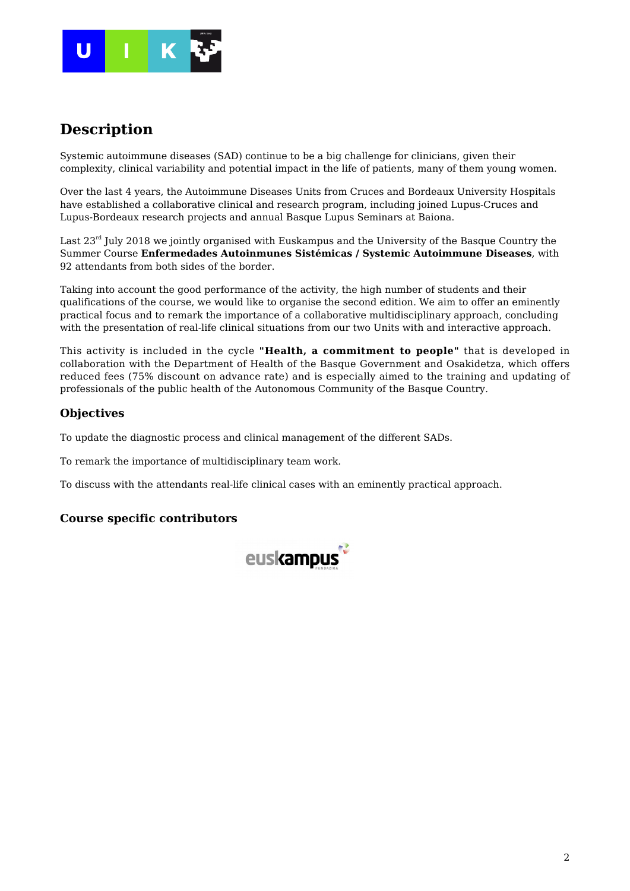

### **Description**

Systemic autoimmune diseases (SAD) continue to be a big challenge for clinicians, given their complexity, clinical variability and potential impact in the life of patients, many of them young women.

Over the last 4 years, the Autoimmune Diseases Units from Cruces and Bordeaux University Hospitals have established a collaborative clinical and research program, including joined Lupus-Cruces and Lupus-Bordeaux research projects and annual Basque Lupus Seminars at Baiona.

Last  $23<sup>rd</sup>$  July 2018 we jointly organised with Euskampus and the University of the Basque Country the Summer Course **Enfermedades Autoinmunes Sistémicas / Systemic Autoimmune Diseases**, with 92 attendants from both sides of the border.

Taking into account the good performance of the activity, the high number of students and their qualifications of the course, we would like to organise the second edition. We aim to offer an eminently practical focus and to remark the importance of a collaborative multidisciplinary approach, concluding with the presentation of real-life clinical situations from our two Units with and interactive approach.

This activity is included in the cycle **"Health, a commitment to people"** that is developed in collaboration with the Department of Health of the Basque Government and Osakidetza, which offers reduced fees (75% discount on advance rate) and is especially aimed to the training and updating of professionals of the public health of the Autonomous Community of the Basque Country.

### **Objectives**

To update the diagnostic process and clinical management of the different SADs.

To remark the importance of multidisciplinary team work.

To discuss with the attendants real-life clinical cases with an eminently practical approach.

### **Course specific contributors**

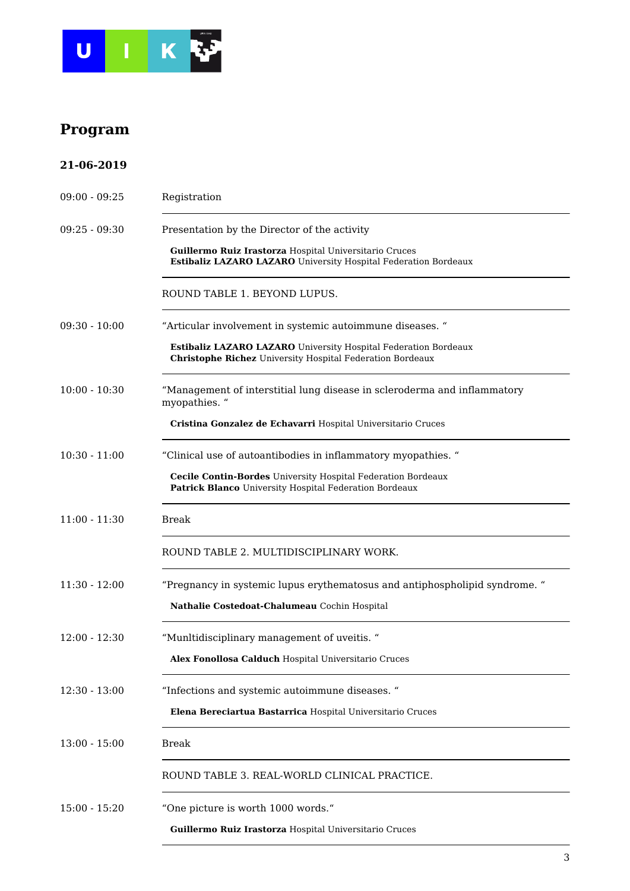

# **Program**

| 21-06-2019      |                                                                                                                                     |
|-----------------|-------------------------------------------------------------------------------------------------------------------------------------|
| $09:00 - 09:25$ | Registration                                                                                                                        |
| $09:25 - 09:30$ | Presentation by the Director of the activity                                                                                        |
|                 | Guillermo Ruiz Irastorza Hospital Universitario Cruces<br>Estibaliz LAZARO LAZARO University Hospital Federation Bordeaux           |
|                 | ROUND TABLE 1. BEYOND LUPUS.                                                                                                        |
| $09:30 - 10:00$ | "Articular involvement in systemic autoimmune diseases. "                                                                           |
|                 | Estibaliz LAZARO LAZARO University Hospital Federation Bordeaux<br><b>Christophe Richez</b> University Hospital Federation Bordeaux |
| $10:00 - 10:30$ | "Management of interstitial lung disease in scleroderma and inflammatory<br>myopathies. "                                           |
|                 | Cristina Gonzalez de Echavarri Hospital Universitario Cruces                                                                        |
| $10:30 - 11:00$ | "Clinical use of autoantibodies in inflammatory myopathies. "                                                                       |
|                 | <b>Cecile Contin-Bordes</b> University Hospital Federation Bordeaux<br>Patrick Blanco University Hospital Federation Bordeaux       |
| $11:00 - 11:30$ | <b>Break</b>                                                                                                                        |
|                 | ROUND TABLE 2. MULTIDISCIPLINARY WORK.                                                                                              |
| $11:30 - 12:00$ | "Pregnancy in systemic lupus erythematosus and antiphospholipid syndrome."                                                          |
|                 | Nathalie Costedoat-Chalumeau Cochin Hospital                                                                                        |
| $12:00 - 12:30$ | "Munltidisciplinary management of uveitis."                                                                                         |
|                 | Alex Fonollosa Calduch Hospital Universitario Cruces                                                                                |
| $12:30 - 13:00$ | "Infections and systemic autoimmune diseases. "                                                                                     |
|                 | Elena Bereciartua Bastarrica Hospital Universitario Cruces                                                                          |
| $13:00 - 15:00$ | <b>Break</b>                                                                                                                        |
|                 | ROUND TABLE 3. REAL-WORLD CLINICAL PRACTICE.                                                                                        |
| $15:00 - 15:20$ | "One picture is worth 1000 words."                                                                                                  |
|                 | Guillermo Ruiz Irastorza Hospital Universitario Cruces                                                                              |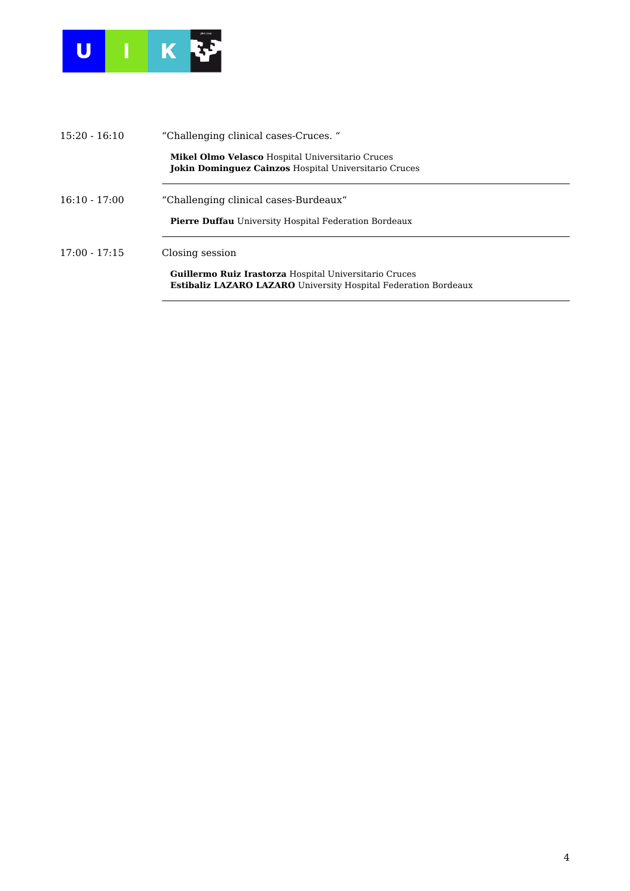

| $15:20 - 16:10$ | "Challenging clinical cases-Cruces."                                                                                                    |  |
|-----------------|-----------------------------------------------------------------------------------------------------------------------------------------|--|
|                 | <b>Mikel Olmo Velasco</b> Hospital Universitario Cruces<br><b>Jokin Dominguez Cainzos Hospital Universitario Cruces</b>                 |  |
| $16:10 - 17:00$ | "Challenging clinical cases-Burdeaux"                                                                                                   |  |
|                 | <b>Pierre Duffau</b> University Hospital Federation Bordeaux                                                                            |  |
| $17:00 - 17:15$ | Closing session                                                                                                                         |  |
|                 | <b>Guillermo Ruiz Irastorza Hospital Universitario Cruces</b><br><b>Estibaliz LAZARO LAZARO</b> University Hospital Federation Bordeaux |  |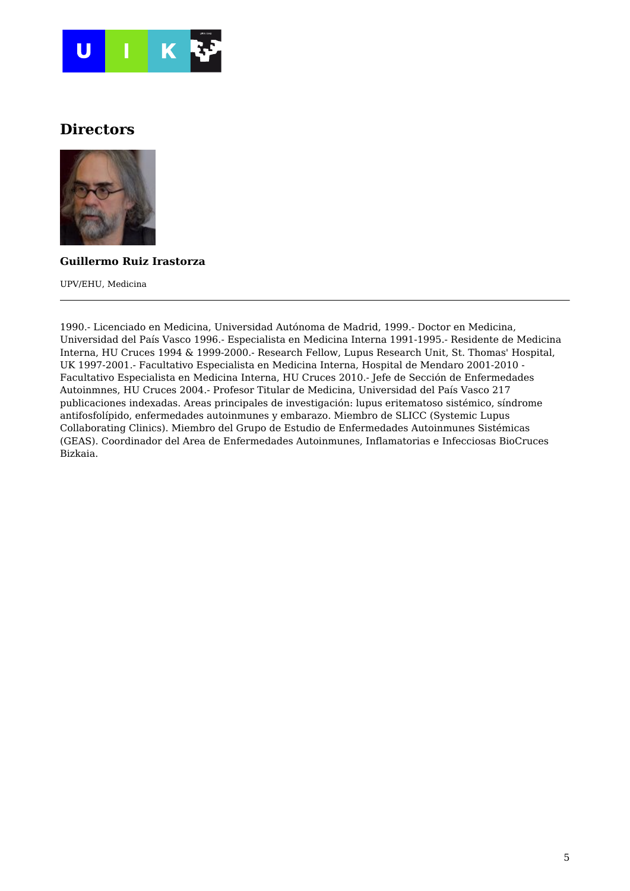

### **Directors**



### **Guillermo Ruiz Irastorza**

UPV/EHU, Medicina

1990.- Licenciado en Medicina, Universidad Autónoma de Madrid, 1999.- Doctor en Medicina, Universidad del País Vasco 1996.- Especialista en Medicina Interna 1991-1995.- Residente de Medicina Interna, HU Cruces 1994 & 1999-2000.- Research Fellow, Lupus Research Unit, St. Thomas' Hospital, UK 1997-2001.- Facultativo Especialista en Medicina Interna, Hospital de Mendaro 2001-2010 - Facultativo Especialista en Medicina Interna, HU Cruces 2010.- Jefe de Sección de Enfermedades Autoinmnes, HU Cruces 2004.- Profesor Titular de Medicina, Universidad del País Vasco 217 publicaciones indexadas. Areas principales de investigación: lupus eritematoso sistémico, síndrome antifosfolípido, enfermedades autoinmunes y embarazo. Miembro de SLICC (Systemic Lupus Collaborating Clinics). Miembro del Grupo de Estudio de Enfermedades Autoinmunes Sistémicas (GEAS). Coordinador del Area de Enfermedades Autoinmunes, Inflamatorias e Infecciosas BioCruces Bizkaia.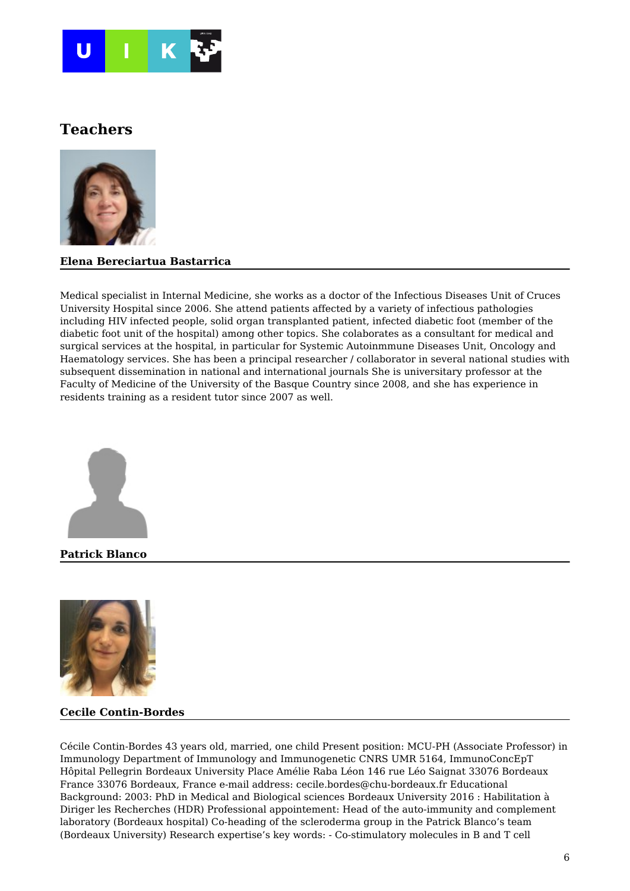

### **Teachers**



#### **Elena Bereciartua Bastarrica**

Medical specialist in Internal Medicine, she works as a doctor of the Infectious Diseases Unit of Cruces University Hospital since 2006. She attend patients affected by a variety of infectious pathologies including HIV infected people, solid organ transplanted patient, infected diabetic foot (member of the diabetic foot unit of the hospital) among other topics. She colaborates as a consultant for medical and surgical services at the hospital, in particular for Systemic Autoinmmune Diseases Unit, Oncology and Haematology services. She has been a principal researcher / collaborator in several national studies with subsequent dissemination in national and international journals She is universitary professor at the Faculty of Medicine of the University of the Basque Country since 2008, and she has experience in residents training as a resident tutor since 2007 as well.



**Patrick Blanco**



#### **Cecile Contin-Bordes**

Cécile Contin-Bordes 43 years old, married, one child Present position: MCU-PH (Associate Professor) in Immunology Department of Immunology and Immunogenetic CNRS UMR 5164, ImmunoConcEpT Hôpital Pellegrin Bordeaux University Place Amélie Raba Léon 146 rue Léo Saignat 33076 Bordeaux France 33076 Bordeaux, France e-mail address: cecile.bordes@chu-bordeaux.fr Educational Background: 2003: PhD in Medical and Biological sciences Bordeaux University 2016 : Habilitation à Diriger les Recherches (HDR) Professional appointement: Head of the auto-immunity and complement laboratory (Bordeaux hospital) Co-heading of the scleroderma group in the Patrick Blanco's team (Bordeaux University) Research expertise's key words: - Co-stimulatory molecules in B and T cell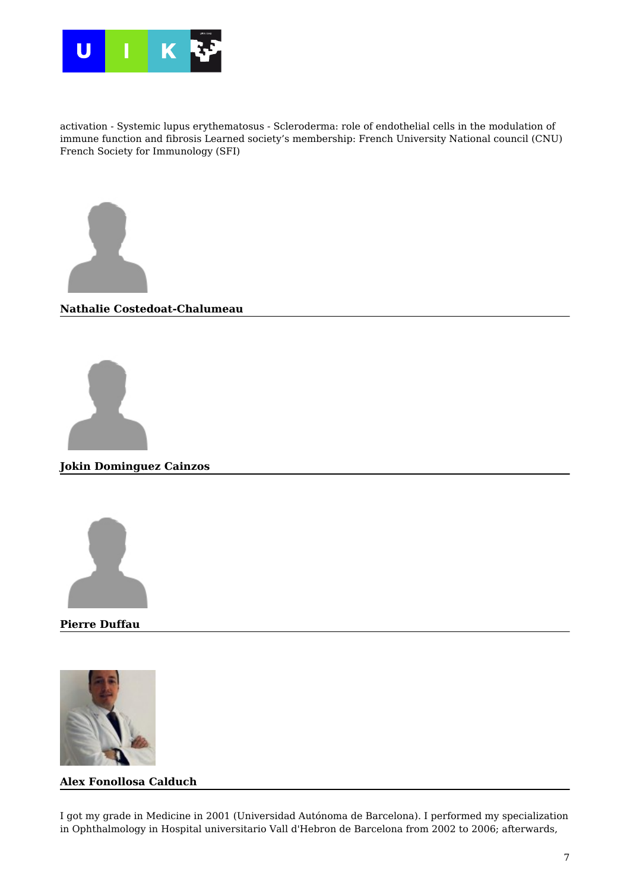

activation - Systemic lupus erythematosus - Scleroderma: role of endothelial cells in the modulation of immune function and fibrosis Learned society's membership: French University National council (CNU) French Society for Immunology (SFI)



#### **Nathalie Costedoat-Chalumeau**



**Jokin Dominguez Cainzos**



**Pierre Duffau**



#### **Alex Fonollosa Calduch**

I got my grade in Medicine in 2001 (Universidad Autónoma de Barcelona). I performed my specialization in Ophthalmology in Hospital universitario Vall d'Hebron de Barcelona from 2002 to 2006; afterwards,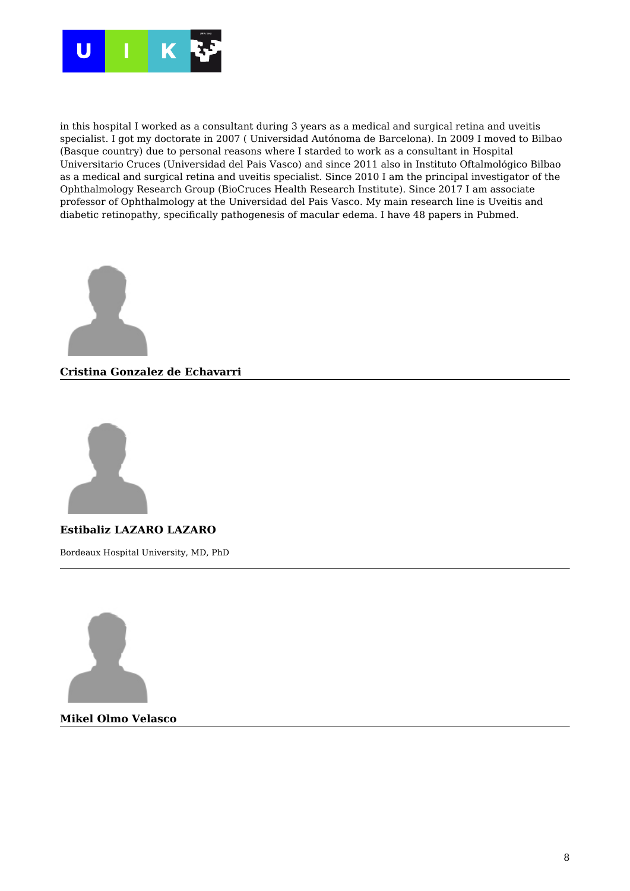

in this hospital I worked as a consultant during 3 years as a medical and surgical retina and uveitis specialist. I got my doctorate in 2007 ( Universidad Autónoma de Barcelona). In 2009 I moved to Bilbao (Basque country) due to personal reasons where I starded to work as a consultant in Hospital Universitario Cruces (Universidad del Pais Vasco) and since 2011 also in Instituto Oftalmológico Bilbao as a medical and surgical retina and uveitis specialist. Since 2010 I am the principal investigator of the Ophthalmology Research Group (BioCruces Health Research Institute). Since 2017 I am associate professor of Ophthalmology at the Universidad del Pais Vasco. My main research line is Uveitis and diabetic retinopathy, specifically pathogenesis of macular edema. I have 48 papers in Pubmed.



**Cristina Gonzalez de Echavarri**



**Estibaliz LAZARO LAZARO**

Bordeaux Hospital University, MD, PhD



**Mikel Olmo Velasco**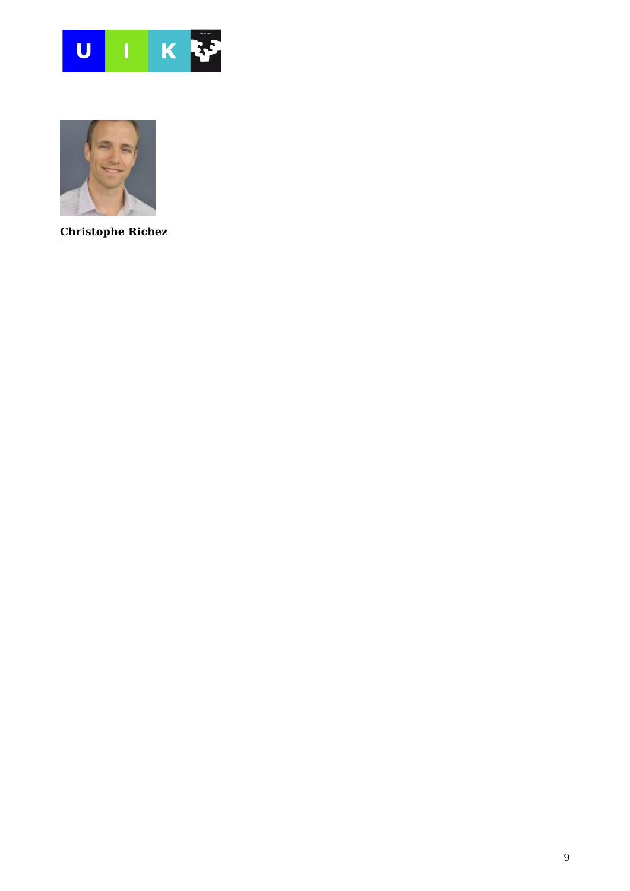



**Christophe Richez**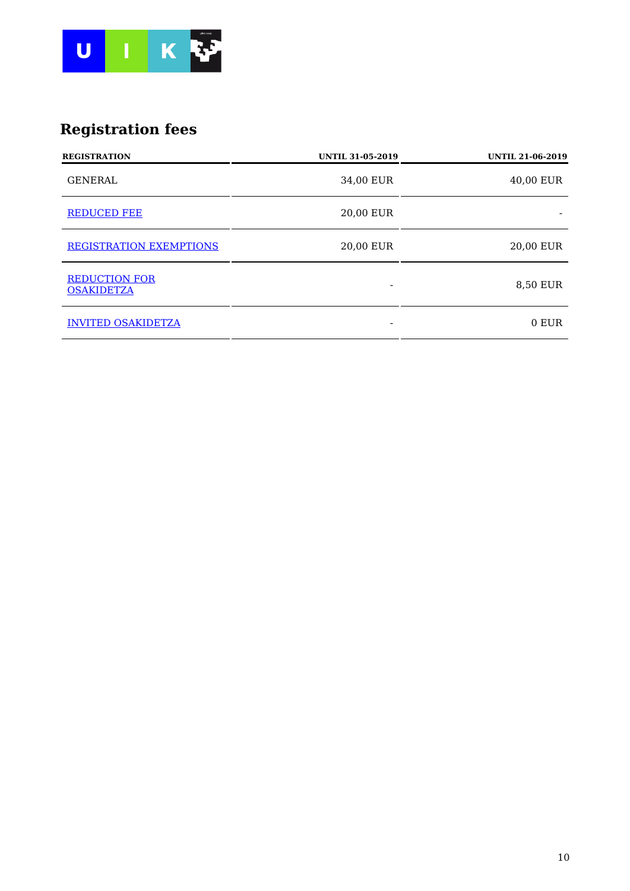

# **Registration fees**

| <b>REGISTRATION</b>                       | <b>UNTIL 31-05-2019</b> | <b>UNTIL 21-06-2019</b> |
|-------------------------------------------|-------------------------|-------------------------|
| <b>GENERAL</b>                            | 34,00 EUR               | 40,00 EUR               |
| <b>REDUCED FEE</b>                        | 20,00 EUR               |                         |
| <b>REGISTRATION EXEMPTIONS</b>            | 20,00 EUR               | 20,00 EUR               |
| <b>REDUCTION FOR</b><br><b>OSAKIDETZA</b> |                         | 8,50 EUR                |
| <b>INVITED OSAKIDETZA</b>                 |                         | 0 EUR                   |